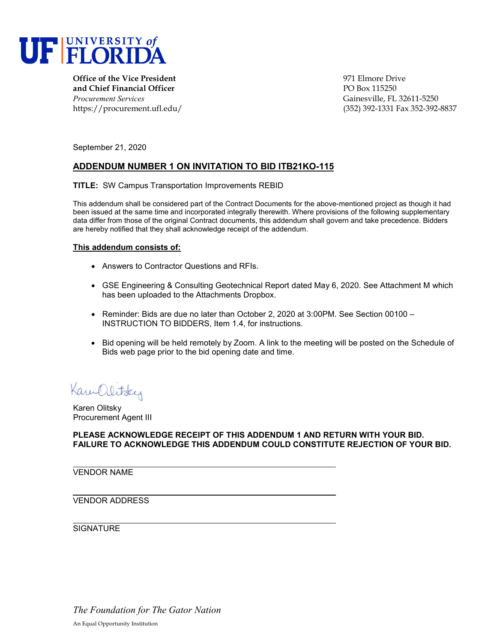

**Office of the Vice President** entertainment of the Vice President entertainment of the Vice Prive **and Chief Financial Officer PO Box 115250** *Procurement Services* Gainesville, FL 32611-5250

https://procurement.ufl.edu/ (352) 392-1331 Fax 352-392-8837

September 21, 2020

## **ADDENDUM NUMBER 1 ON INVITATION TO BID ITB21KO-115**

**TITLE:** SW Campus Transportation Improvements REBID

This addendum shall be considered part of the Contract Documents for the above-mentioned project as though it had been issued at the same time and incorporated integrally therewith. Where provisions of the following supplementary data differ from those of the original Contract documents, this addendum shall govern and take precedence. Bidders are hereby notified that they shall acknowledge receipt of the addendum.

## **This addendum consists of:**

- Answers to Contractor Questions and RFIs.
- GSE Engineering & Consulting Geotechnical Report dated May 6, 2020. See Attachment M which has been uploaded to the Attachments Dropbox.
- Reminder: Bids are due no later than October 2, 2020 at 3:00PM. See Section 00100 INSTRUCTION TO BIDDERS, Item 1.4, for instructions.
- Bid opening will be held remotely by Zoom. A link to the meeting will be posted on the Schedule of Bids web page prior to the bid opening date and time.

Kam Olitsky

Karen Olitsky Procurement Agent III

**PLEASE ACKNOWLEDGE RECEIPT OF THIS ADDENDUM 1 AND RETURN WITH YOUR BID. FAILURE TO ACKNOWLEDGE THIS ADDENDUM COULD CONSTITUTE REJECTION OF YOUR BID.**

VENDOR NAME

VENDOR ADDRESS

**SIGNATURE** 

*The Foundation for The Gator Nation* An Equal Opportunity Institution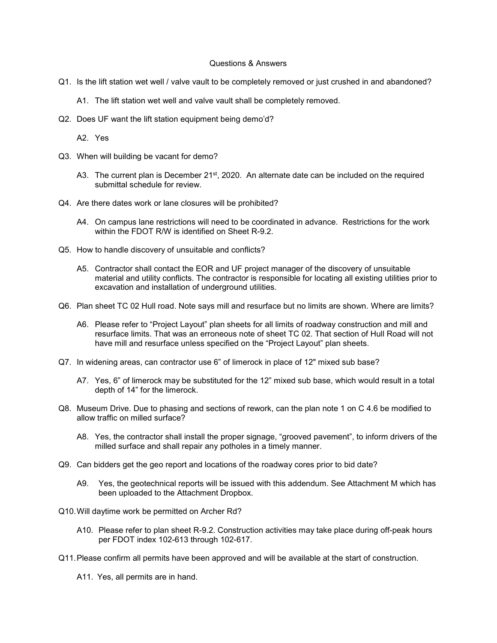## Questions & Answers

- Q1. Is the lift station wet well / valve vault to be completely removed or just crushed in and abandoned?
	- A1. The lift station wet well and valve vault shall be completely removed.
- Q2. Does UF want the lift station equipment being demo'd?

A2. Yes

- Q3. When will building be vacant for demo?
	- A3. The current plan is December 21<sup>st</sup>, 2020. An alternate date can be included on the required submittal schedule for review.
- Q4. Are there dates work or lane closures will be prohibited?
	- A4. On campus lane restrictions will need to be coordinated in advance. Restrictions for the work within the FDOT R/W is identified on Sheet R-9.2.
- Q5. How to handle discovery of unsuitable and conflicts?
	- A5. Contractor shall contact the EOR and UF project manager of the discovery of unsuitable material and utility conflicts. The contractor is responsible for locating all existing utilities prior to excavation and installation of underground utilities.
- Q6. Plan sheet TC 02 Hull road. Note says mill and resurface but no limits are shown. Where are limits?
	- A6. Please refer to "Project Layout" plan sheets for all limits of roadway construction and mill and resurface limits. That was an erroneous note of sheet TC 02. That section of Hull Road will not have mill and resurface unless specified on the "Project Layout" plan sheets.
- Q7. In widening areas, can contractor use 6" of limerock in place of 12" mixed sub base?
	- A7. Yes, 6" of limerock may be substituted for the 12" mixed sub base, which would result in a total depth of 14" for the limerock.
- Q8. Museum Drive. Due to phasing and sections of rework, can the plan note 1 on C 4.6 be modified to allow traffic on milled surface?
	- A8. Yes, the contractor shall install the proper signage, "grooved pavement", to inform drivers of the milled surface and shall repair any potholes in a timely manner.
- Q9. Can bidders get the geo report and locations of the roadway cores prior to bid date?
	- A9. Yes, the geotechnical reports will be issued with this addendum. See Attachment M which has been uploaded to the Attachment Dropbox.
- Q10.Will daytime work be permitted on Archer Rd?
	- A10. Please refer to plan sheet R-9.2. Construction activities may take place during off-peak hours per FDOT index 102-613 through 102-617.
- Q11.Please confirm all permits have been approved and will be available at the start of construction.
	- A11. Yes, all permits are in hand.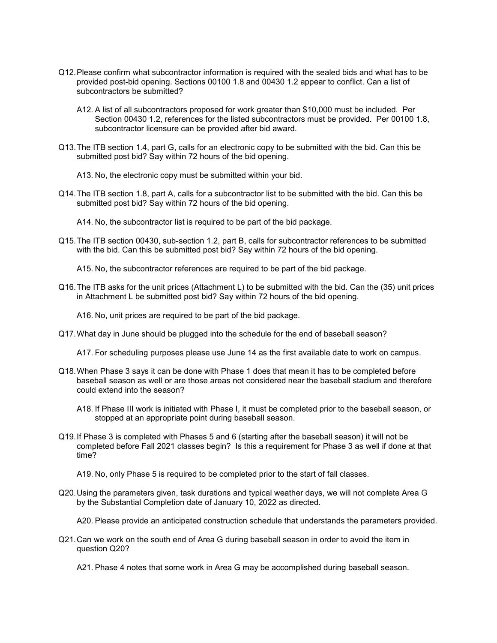- Q12.Please confirm what subcontractor information is required with the sealed bids and what has to be provided post-bid opening. Sections 00100 1.8 and 00430 1.2 appear to conflict. Can a list of subcontractors be submitted?
	- A12. A list of all subcontractors proposed for work greater than \$10,000 must be included. Per Section 00430 1.2, references for the listed subcontractors must be provided. Per 00100 1.8, subcontractor licensure can be provided after bid award.
- Q13.The ITB section 1.4, part G, calls for an electronic copy to be submitted with the bid. Can this be submitted post bid? Say within 72 hours of the bid opening.
	- A13. No, the electronic copy must be submitted within your bid.
- Q14.The ITB section 1.8, part A, calls for a subcontractor list to be submitted with the bid. Can this be submitted post bid? Say within 72 hours of the bid opening.
	- A14. No, the subcontractor list is required to be part of the bid package.
- Q15.The ITB section 00430, sub-section 1.2, part B, calls for subcontractor references to be submitted with the bid. Can this be submitted post bid? Say within 72 hours of the bid opening.

A15. No, the subcontractor references are required to be part of the bid package.

Q16.The ITB asks for the unit prices (Attachment L) to be submitted with the bid. Can the (35) unit prices in Attachment L be submitted post bid? Say within 72 hours of the bid opening.

A16. No, unit prices are required to be part of the bid package.

Q17.What day in June should be plugged into the schedule for the end of baseball season?

A17. For scheduling purposes please use June 14 as the first available date to work on campus.

- Q18.When Phase 3 says it can be done with Phase 1 does that mean it has to be completed before baseball season as well or are those areas not considered near the baseball stadium and therefore could extend into the season?
	- A18. If Phase III work is initiated with Phase I, it must be completed prior to the baseball season, or stopped at an appropriate point during baseball season.
- Q19.If Phase 3 is completed with Phases 5 and 6 (starting after the baseball season) it will not be completed before Fall 2021 classes begin? Is this a requirement for Phase 3 as well if done at that time?

A19. No, only Phase 5 is required to be completed prior to the start of fall classes.

Q20.Using the parameters given, task durations and typical weather days, we will not complete Area G by the Substantial Completion date of January 10, 2022 as directed.

A20. Please provide an anticipated construction schedule that understands the parameters provided.

Q21.Can we work on the south end of Area G during baseball season in order to avoid the item in question Q20?

A21. Phase 4 notes that some work in Area G may be accomplished during baseball season.